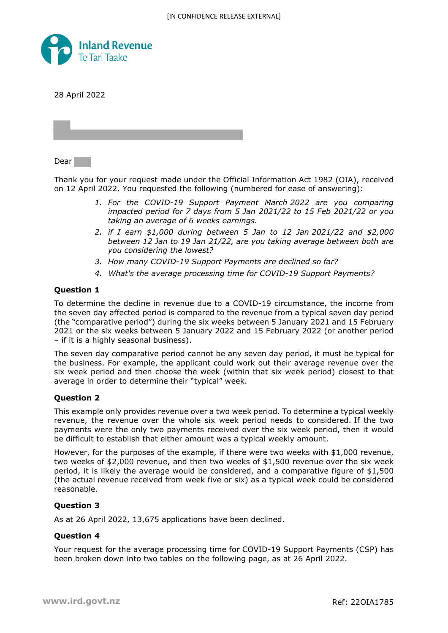

28 April 2022

Dear

Thank you for your request made under the Official Information Act 1982 (OIA), received on 12 April 2022. You requested the following (numbered for ease of answering):

- *1. For the COVID-19 Support Payment March 2022 are you comparing impacted period for 7 days from 5 Jan 2021/22 to 15 Feb 2021/22 or you taking an average of 6 weeks earnings.*
- *2. if I earn \$1,000 during between 5 Jan to 12 Jan 2021/22 and \$2,000 between 12 Jan to 19 Jan 21/22, are you taking average between both are you considering the lowest?*
- *3. How many COVID-19 Support Payments are declined so far?*
- *4. What's the average processing time for COVID-19 Support Payments?*

### **Question 1**

To determine the decline in revenue due to a COVID-19 circumstance, the income from the seven day affected period is compared to the revenue from a typical seven day period (the "comparative period") during the six weeks between 5 January 2021 and 15 February 2021 or the six weeks between 5 January 2022 and 15 February 2022 (or another period – if it is a highly seasonal business).

The seven day comparative period cannot be any seven day period, it must be typical for the business. For example, the applicant could work out their average revenue over the six week period and then choose the week (within that six week period) closest to that average in order to determine their "typical" week.

### **Question 2**

This example only provides revenue over a two week period. To determine a typical weekly revenue, the revenue over the whole six week period needs to considered. If the two payments were the only two payments received over the six week period, then it would be difficult to establish that either amount was a typical weekly amount.

However, for the purposes of the example, if there were two weeks with \$1,000 revenue, two weeks of \$2,000 revenue, and then two weeks of \$1,500 revenue over the six week period, it is likely the average would be considered, and a comparative figure of \$1,500 (the actual revenue received from week five or six) as a typical week could be considered reasonable.

# **Question 3**

As at 26 April 2022, 13,675 applications have been declined.

### **Question 4**

Your request for the average processing time for COVID-19 Support Payments (CSP) has been broken down into two tables on the following page, as at 26 April 2022.